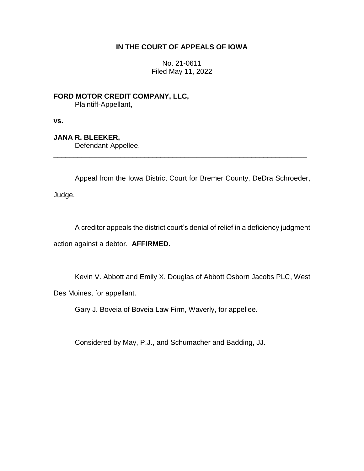# **IN THE COURT OF APPEALS OF IOWA**

No. 21-0611 Filed May 11, 2022

**FORD MOTOR CREDIT COMPANY, LLC,** Plaintiff-Appellant,

**vs.**

**JANA R. BLEEKER,**

Defendant-Appellee.

Appeal from the Iowa District Court for Bremer County, DeDra Schroeder,

\_\_\_\_\_\_\_\_\_\_\_\_\_\_\_\_\_\_\_\_\_\_\_\_\_\_\_\_\_\_\_\_\_\_\_\_\_\_\_\_\_\_\_\_\_\_\_\_\_\_\_\_\_\_\_\_\_\_\_\_\_\_\_\_

Judge.

A creditor appeals the district court's denial of relief in a deficiency judgment action against a debtor. **AFFIRMED.** 

Kevin V. Abbott and Emily X. Douglas of Abbott Osborn Jacobs PLC, West

Des Moines, for appellant.

Gary J. Boveia of Boveia Law Firm, Waverly, for appellee.

Considered by May, P.J., and Schumacher and Badding, JJ.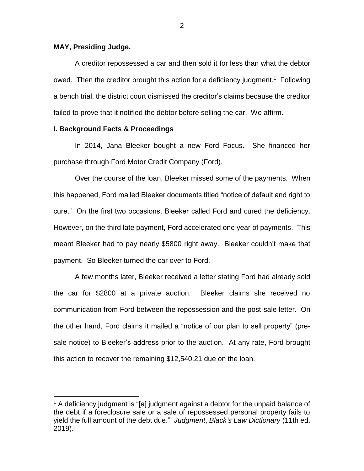# **MAY, Presiding Judge.**

 $\overline{a}$ 

A creditor repossessed a car and then sold it for less than what the debtor owed. Then the creditor brought this action for a deficiency judgment.<sup>1</sup> Following a bench trial, the district court dismissed the creditor's claims because the creditor failed to prove that it notified the debtor before selling the car. We affirm.

# **I. Background Facts & Proceedings**

In 2014, Jana Bleeker bought a new Ford Focus. She financed her purchase through Ford Motor Credit Company (Ford).

Over the course of the loan, Bleeker missed some of the payments. When this happened, Ford mailed Bleeker documents titled "notice of default and right to cure." On the first two occasions, Bleeker called Ford and cured the deficiency. However, on the third late payment, Ford accelerated one year of payments. This meant Bleeker had to pay nearly \$5800 right away. Bleeker couldn't make that payment. So Bleeker turned the car over to Ford.

A few months later, Bleeker received a letter stating Ford had already sold the car for \$2800 at a private auction. Bleeker claims she received no communication from Ford between the repossession and the post-sale letter. On the other hand, Ford claims it mailed a "notice of our plan to sell property" (presale notice) to Bleeker's address prior to the auction. At any rate, Ford brought this action to recover the remaining \$12,540.21 due on the loan.

 $1$  A deficiency judgment is "[a] judgment against a debtor for the unpaid balance of the debt if a foreclosure sale or a sale of repossessed personal property fails to yield the full amount of the debt due." *Judgment*, *Black's Law Dictionary* (11th ed. 2019).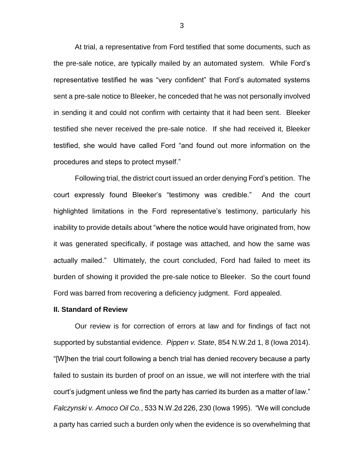At trial, a representative from Ford testified that some documents, such as the pre-sale notice, are typically mailed by an automated system. While Ford's representative testified he was "very confident" that Ford's automated systems sent a pre-sale notice to Bleeker, he conceded that he was not personally involved in sending it and could not confirm with certainty that it had been sent. Bleeker testified she never received the pre-sale notice. If she had received it, Bleeker testified, she would have called Ford "and found out more information on the procedures and steps to protect myself."

Following trial, the district court issued an order denying Ford's petition. The court expressly found Bleeker's "testimony was credible." And the court highlighted limitations in the Ford representative's testimony, particularly his inability to provide details about "where the notice would have originated from, how it was generated specifically, if postage was attached, and how the same was actually mailed." Ultimately, the court concluded, Ford had failed to meet its burden of showing it provided the pre-sale notice to Bleeker. So the court found Ford was barred from recovering a deficiency judgment. Ford appealed.

#### **II. Standard of Review**

Our review is for correction of errors at law and for findings of fact not supported by substantial evidence. *Pippen v. State*, 854 N.W.2d 1, 8 (Iowa 2014). "[W]hen the trial court following a bench trial has denied recovery because a party failed to sustain its burden of proof on an issue, we will not interfere with the trial court's judgment unless we find the party has carried its burden as a matter of law." *Falczynski v. Amoco Oil Co.*, 533 N.W.2d 226, 230 (Iowa 1995). "We will conclude a party has carried such a burden only when the evidence is so overwhelming that

3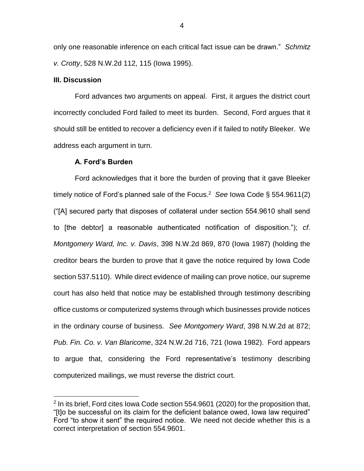only one reasonable inference on each critical fact issue can be drawn." *Schmitz v. Crotty*, 528 N.W.2d 112, 115 (Iowa 1995).

### **III. Discussion**

 $\overline{a}$ 

Ford advances two arguments on appeal. First, it argues the district court incorrectly concluded Ford failed to meet its burden. Second, Ford argues that it should still be entitled to recover a deficiency even if it failed to notify Bleeker. We address each argument in turn.

### **A. Ford's Burden**

Ford acknowledges that it bore the burden of proving that it gave Bleeker timely notice of Ford's planned sale of the Focus. 2 *See* Iowa Code § 554.9611(2) ("[A] secured party that disposes of collateral under section 554.9610 shall send to [the debtor] a reasonable authenticated notification of disposition."); *cf*. *Montgomery Ward, Inc. v. Davis*, 398 N.W.2d 869, 870 (Iowa 1987) (holding the creditor bears the burden to prove that it gave the notice required by Iowa Code section 537.5110). While direct evidence of mailing can prove notice, our supreme court has also held that notice may be established through testimony describing office customs or computerized systems through which businesses provide notices in the ordinary course of business. *See Montgomery Ward*, 398 N.W.2d at 872; *Pub. Fin. Co. v. Van Blaricome*, 324 N.W.2d 716, 721 (Iowa 1982). Ford appears to argue that, considering the Ford representative's testimony describing computerized mailings, we must reverse the district court.

 $2$  In its brief, Ford cites Iowa Code section 554.9601 (2020) for the proposition that, "[t]o be successful on its claim for the deficient balance owed, Iowa law required" Ford "to show it sent" the required notice. We need not decide whether this is a correct interpretation of section 554.9601.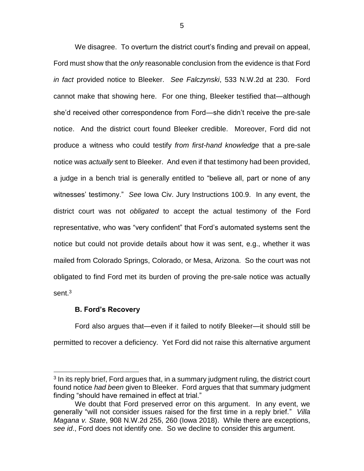We disagree. To overturn the district court's finding and prevail on appeal, Ford must show that the *only* reasonable conclusion from the evidence is that Ford *in fact* provided notice to Bleeker. *See Falczynski*, 533 N.W.2d at 230. Ford cannot make that showing here. For one thing, Bleeker testified that—although she'd received other correspondence from Ford—she didn't receive the pre-sale notice. And the district court found Bleeker credible. Moreover, Ford did not produce a witness who could testify *from first-hand knowledge* that a pre-sale notice was *actually* sent to Bleeker. And even if that testimony had been provided, a judge in a bench trial is generally entitled to "believe all, part or none of any witnesses' testimony." *See* Iowa Civ. Jury Instructions 100.9. In any event, the district court was not *obligated* to accept the actual testimony of the Ford representative, who was "very confident" that Ford's automated systems sent the notice but could not provide details about how it was sent, e.g., whether it was mailed from Colorado Springs, Colorado, or Mesa, Arizona. So the court was not obligated to find Ford met its burden of proving the pre-sale notice was actually sent.<sup>3</sup>

# **B. Ford's Recovery**

 $\overline{a}$ 

Ford also argues that—even if it failed to notify Bleeker—it should still be permitted to recover a deficiency. Yet Ford did not raise this alternative argument

<sup>&</sup>lt;sup>3</sup> In its reply brief, Ford argues that, in a summary judgment ruling, the district court found notice *had been* given to Bleeker. Ford argues that that summary judgment finding "should have remained in effect at trial."

We doubt that Ford preserved error on this argument. In any event, we generally "will not consider issues raised for the first time in a reply brief." *Villa Magana v. State*, 908 N.W.2d 255, 260 (Iowa 2018). While there are exceptions, *see id*., Ford does not identify one. So we decline to consider this argument.